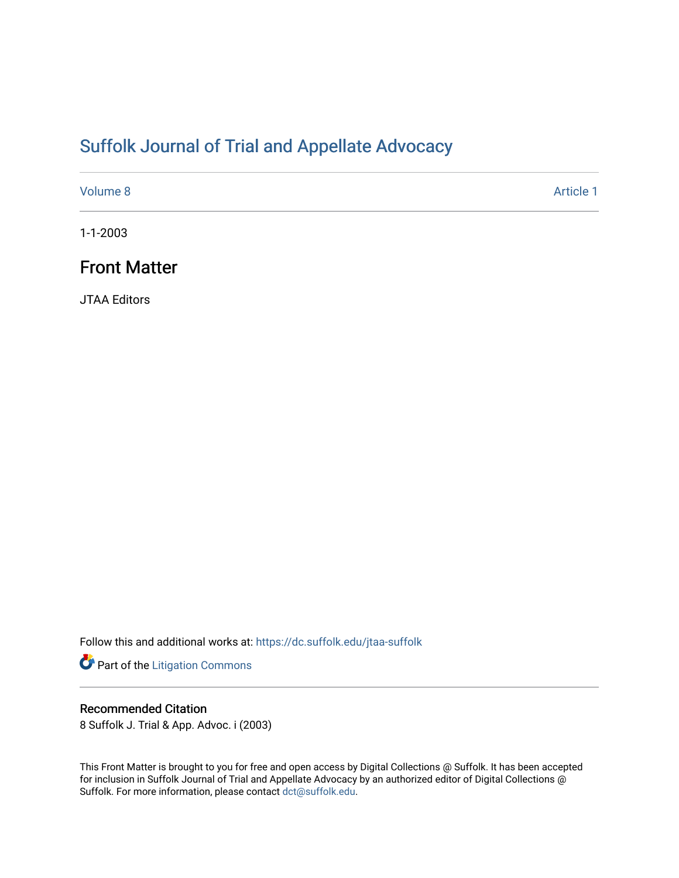## [Suffolk Journal of Trial and Appellate Advocacy](https://dc.suffolk.edu/jtaa-suffolk)

[Volume 8](https://dc.suffolk.edu/jtaa-suffolk/vol8) Article 1

1-1-2003

## Front Matter

JTAA Editors

Follow this and additional works at: [https://dc.suffolk.edu/jtaa-suffolk](https://dc.suffolk.edu/jtaa-suffolk?utm_source=dc.suffolk.edu%2Fjtaa-suffolk%2Fvol8%2Fiss1%2F1&utm_medium=PDF&utm_campaign=PDFCoverPages) 

Part of the [Litigation Commons](http://network.bepress.com/hgg/discipline/910?utm_source=dc.suffolk.edu%2Fjtaa-suffolk%2Fvol8%2Fiss1%2F1&utm_medium=PDF&utm_campaign=PDFCoverPages)

### Recommended Citation

8 Suffolk J. Trial & App. Advoc. i (2003)

This Front Matter is brought to you for free and open access by Digital Collections @ Suffolk. It has been accepted for inclusion in Suffolk Journal of Trial and Appellate Advocacy by an authorized editor of Digital Collections @ Suffolk. For more information, please contact [dct@suffolk.edu.](mailto:dct@suffolk.edu)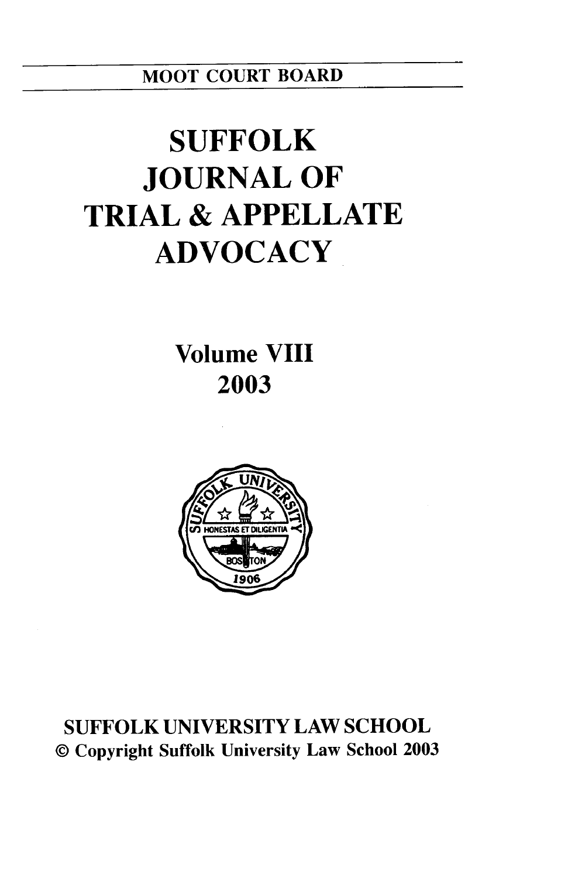MOOT **COURT** BOARD

# **SUFFOLK JOURNAL OF TRIAL & APPELLATE ADVOCACY**

**Volume VIII 2003**



**SUFFOLK UNIVERSITY** LAW **SCHOOL** © Copyright Suffolk University Law School **2003**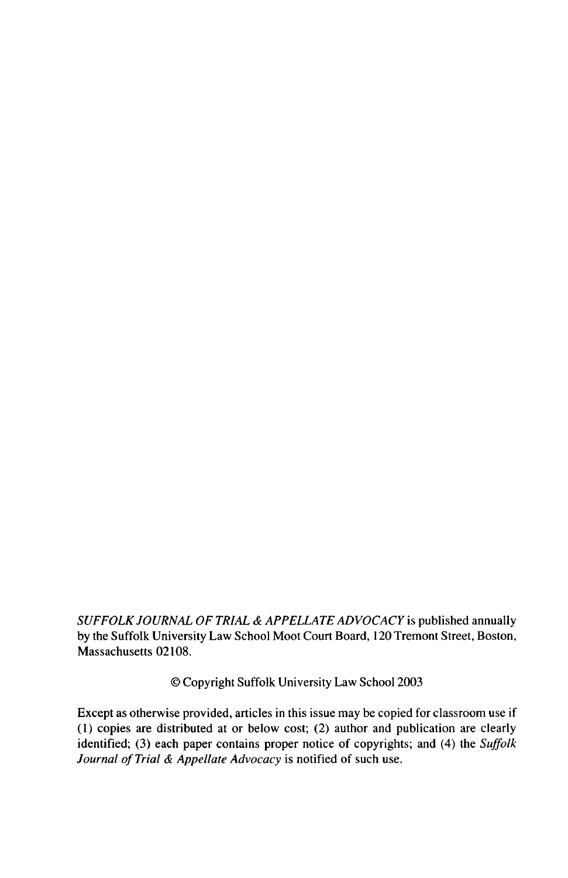*SUFFOLK JOURNAL OF TRIAL & APPELLATE ADVOCACY* is published annually by the Suffolk University Law School Moot Court Board, 120 Tremont Street, Boston, Massachusetts 02108.

© Copyright Suffolk University Law School 2003

Except as otherwise provided, articles in this issue may be copied for classroom use if (1) copies are distributed at or below cost; (2) author and publication are clearly identified; (3) each paper contains proper notice of copyrights; and (4) the *Suffolk Journal of Trial & Appellate Advocacy* is notified of such use.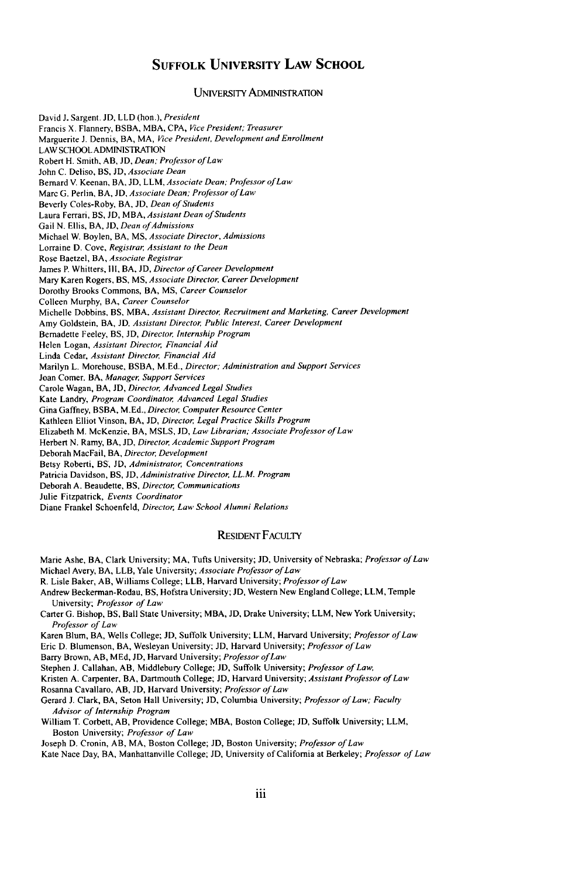### **SUFFOLK UNIVERSITY LAW SCHOOL**

#### UNIVERSITY ADMINISTRATION

David **J.** Sargent. **JD,** LLD (hon.), *President* Francis X. Flannery, BSBA, MBA, CPA, *Vice President; Treasurer* Marguerite **J.** Dennis, BA, MA, *ice President, Development and Enrollment* LAW SCHOOL ADMINISTRATION Robert H. Smith, AB, **JD,** *Dean.' Professor of Law* John **C.** Deliso, BS, **JD,** *Associate Dean* Bernard V. Keenan, BA, **JD,** LLM, *Associate Dean; Professor ofLaw* Marc G. Perlin, BA, **JD,** *Associate Dean' Professor of Law* Beverly Coles-Roby, BA, **JD,** *Dean of Students* Laura Ferrari, BS, **JD,** MBA, *Assistant Dean of Students* Gail N. Ellis, BA, JD, *Dean of Admissions* Michael W. Boylen, BA, **MS,** *Associate Director, Admissions* Lorraine D. Cove, *Registrar, Assistant to the Dean* Rose Baetzel, BA, *Associate Registrar* James P. Whitters, III, BA, JD, Director of Career Development Mary Karen Rogers, BS, **MS,** *Associate Director, Career Development* Dorothy Brooks Commons, BA, **MS,** Career Counselor Colleen Murphy, BA, Career Counselor Michelle Dobbins, BS, MBA. *Assistant Director, Recruitment and Marketing, Career Development* Amy Goldstein, BA, **JD,** *Assistant Director, Public Interest, Career Development* Bernadette Feeley, BS, **JD,** *Director,* Internship Program Helen Logan, *Assistant Director, Financial Aid* Linda Cedar, *Assistant Director, Financial Aid* Marilyn L. Morehouse, BSBA, M.Ed., Director; Administration and Support Services Joan Comer, BA, *Manager,* Support Services Carole Wagan, BA, **JD,** Director, Advanced Legal Studies Kate Landry, Program Coordinator, Advanced Legal Studies Gina Gaffney, BSBA, M.Ed., Director, Computer Resource Center Kathleen Elliot Vinson, BA, **JD,** *Director,* Legal Practice Skills Program Elizabeth M. McKenzie, BA, MSLS, **JD,** Law Librarian; Associate Professor of Law Herbert N. Ramy, BA, **JD,** Director, Academic Support Program Deborah MacFail, BA, Director, Development Betsy Roberti, BS, **JD,** Administrator, Concentrations Patricia Davidson, BS, JD, Administrative Director, LL.M. Program Deborah **A.** Beaudette, BS, Director, Communications Julie Fitzpatrick, Events Coordinator Diane Frankel Schoenfeld, Director, Law School Alumni Relations

#### RESIDENT FACULTY

- Marie Ashe, BA, Clark University; MA, Tufts University; **JD,** University of Nebraska; Professor *of Law* Michael Avery, BA, LLB, Yale University; Associate Professor of Law
- R. Lisle Baker, AB, Williams College; LLB, Harvard University; Professor of Law
- Andrew Beckerman-Rodau, BS, Hofstra University; **JD,** Western New England College, LLM, Temple University; Professor of Law
- Carter G. Bishop, BS, Ball State University; MBA, **JD,** Drake University; LLM, New York University; Professor of Law
- Karen Blum, BA, Wells College; **JD,** Suffolk University; LLM, Harvard University; Professor of Law Eric **D.** Blumenson, BA, Wesleyan University; **JD,** Harvard University; Professor of Law
- Barry Brown, AB, MEd, JD, Harvard University; Professor of Law

Stephen J. Callahan, AB, Middlebury College; **JD,** Suffolk University; Professor of Law,

- Kristen A. Carpenter, BA, Dartmouth College; **JD,** Harvard University; Assistant Professor *of* Law
- Rosanna Cavallaro, AB, **JD,** Harvard University; Professor of *Law*

Gerard **J.** Clark, BA, Seton Hall University; **JD,** Columbia University; Professor of Law; Faculty Advisor of Internship Program

William T. Corbett, AB, Providence College; MBA, Boston College; **JD,** Suffolk University; LLM, Boston University; Professor of Law

Joseph D. Cronin, AB, MA, Boston College; **JD,** Boston University; Professor of Law

Kate Nace Day, BA, Manhattanville College; **JD,** University of California at Berkeley; Professor of Law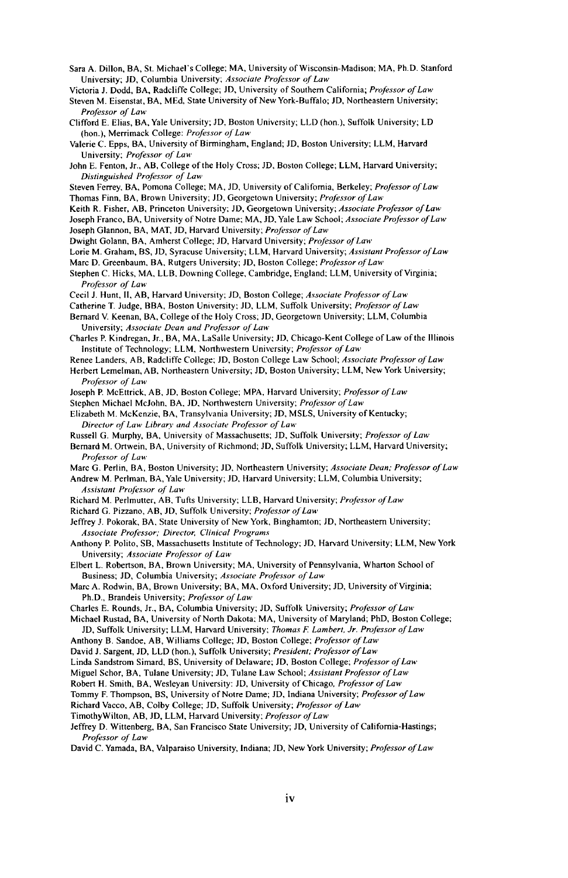Sara A. Dillon, BA, St. Michael's College; MA, University of Wisconsin-Madison; MA, Ph.D. Stanford University; **JD,** Columbia University; *Associate Professor of Law*

Victoria **J.** Dodd, BA, Radcliffe College; JD, University of Southern California; *Professor of Law*

Steven M. Eisenstat, BA, MEd, State University of New York-Buffalo; JD, Northeastern University; *Professor of Law*

Clifford E. Elias, BA, Yale University; JD, Boston University; LLD (hon.), Suffolk University; LD (hon.), Merrimack College: *Professor of Law*

- Valerie C. Epps, BA, University of Birmingham, England; **JD,** Boston University; LLM, Harvard University; *Professor of Law*
- John E. Fenton, Jr., AB, College of the Holy Cross; **JD,** Boston College; LLM, Harvard University; *Distinguished Professor of Lam,*
- Steven Ferrey, BA, Pomona College; MA, **JD,** University of California, Berkeley; *Professor of Law* Thomas Finn, BA, Brown University; **JD,** Georgetown University; *Professor of Law*
- Keith R. Fisher, **AB,** Princeton University **JD,** Georgetown University; *Associate Professor of Law*
- Joseph Franco, BA, University of Notre Dame; MA, **JD,** Yale Law School; *Associate Professor of Law*
- Joseph Glannon, BA, MAT, **JD,** Harvard University; *Professor of Law*
- Dwight Golann, BA, Amherst College; **JD,** Harvard University; *Professor of Law*
- Lorie M. Graham, BS, JD, Syracuse University; LLM, Harvard University; *Assistant Professor of Law*
- Marc D. Greenbaum, BA, Rutgers University; **JD,** Boston College; *Professor of Law*
- Stephen C. Hicks, **MA,** LLB, Downing College, Cambridge, England. LLM, University of Virginia; *Professor of Law*
- Cecil **J.** Hunt, **11,** AB, Harvard University. **JD,** Boston College; *Associate Professor of Law*
- Catherine T Judge, BBA, Boston University; **JD,** LLM, Suffolk University; *Professor of Law*
- Bernard V. Keenan, BA, College of the Holy Cross; JD, Georgetown University; LLM, Columbia University; *Associate Dean and Professor of Law*
- Charles P. Kindregan, Jr., BA, MA, LaSalle University; **JD,** Chicago-Kent College of Law of the Illinois Institute of Technology. LLM, Northwestern University; *Professor of Law*
- Renee Landers, AB, Radcliffe College; **ID,** Boston College Law School; *Associate Professor of Law* Herbert Lemelman, AB, Northeastern University; **JD,** Boston University; LLM, New York University; *Professor of Law*
- Joseph P. McEttrick, AB, **JD,** Boston College; MPA, Harvard University; *Professor of Law*
- Stephen Michael McJohn, BA, *JD,* Northwestern University; *Professor of Law*
- Elizabeth M. McKenzie, BA, Transylvania University; **JD,** MSLS, University of Kentucky; *Director of Law* Library *and Associate Professor of Law*
- Russell G. Murphy, BA, University of Massachusetts; **JD,** Suffolk University; *Professor of Law*
- Bernard M. Ortwein, BA, University of Richmond; **JD,** Suffolk University; LLM, Harvard University; *Professor of Law*
- Marc G. Perlin, BA, Boston University; **JD,** Northeastern University; *Associate Dean; Professor of Law*
- Andrew M. Perlman, BA, Yale University; **JD,** Harvard University. LLM, Columbia University; *Assistant Professor of Law*
- Richard M. Perlmutter, AB, Tufts University; LLB, Harvard University; *Professor of Law*

Richard G. Pizzano, AB, **JD,** Suffolk University; *Professor of Lass*

- Jeffrey **J.** Pokorak, BA, State University of New York, Binghamton; **JD,** Northeastern University; *Associate Professor; Director, Clinical Programs*
- Anthony P. Polito, **SB,** Massachusetts Institute of Technology; **JD,** Harvard University; LLM, New York University; *Associate Professor of Law*
- Elbert L. Robertson, BA, Brown University; MA, University of Pennsylvania, Wharton School of Business; **JD,** Columbia University; *Associate Professor of Law*
- Marc A. Rodwin, BA, Brown University; BA, **MA,** Oxford University; **JD,** University of Virginia; Ph.D., Brandeis University; *Professor of Law*
- Charles E. Rounds, Jr., BA, Columbia University; **JD,** Suffolk University; *Professor of Law*
- Michael Rustad, BA, University of North Dakota; MA, University of Maryland; PhD, Boston College; **JD,** Suffolk University; LLM, Harvard University; *Thomas F Lambert, Jr. Professor of Law*
- Anthony B. Sandoe, AB, Williams College; **JD,** Boston College; *Professor of Law*
- David **J.** Sargent, **JD,** LLD (hon.), Suffolk University; *President: Professor of Law*
- Linda Sandstrom Simard, BS, University of Delaware; JD, Boston College; *Professor of Law*
- Miguel Schor, BA, Tulane University; **JD,** Tulane Law School; *Assistant Professor of Law*
- Robert H. Smith, BA, Wesleyan University: **JD,** University of Chicago, *Professor of Law*
- Tommy F. Thompson, BS, University of Notre Dame; **JD,** Indiana University; *Professor ofLaw*
- Richard Vacco, AB, Colby College; **JD,** Suffolk University; *Professor of Law*
- TimothyWilton, AB, **JD,** LLM, Harvard University; *Professor of Law*
- Jeffrey **D.** Wittenberg, BA, San Francisco State University; **JD,** University of California-Hastings; *Professor of Law*
- David C. Yamada, BA, Valparaiso University, Indiana; **JD,** New York University; *Professor of Law*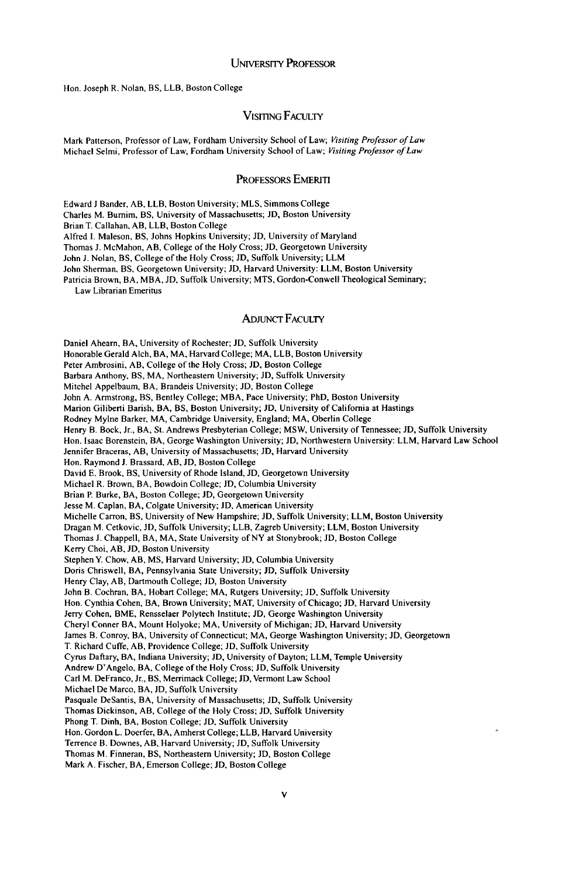Hon. Joseph R. Nolan, BS, LLB, Boston College

#### VIsITING FACULTY

Mark Patterson, Professor of Law, Fordham University School of Law; *Visiting Professor of Law* Michael Selmi, Professor of Law, Fordham University School of Law; *Visiting Professor of Law*

#### PROFESSORS EMERI

Edward **J** Bander, **AB,** LLB, Boston University; MLS, Simmons College

Charles M. Burnim, BS, University of Massachusetts; **JD,** Boston University

Brian T. Callahan, AB, LLB, Boston College

Alfred **1.** Maleson, BS, Johns Hopkins University; **JD,** University of Maryland

Thomas **J.** McMahon, AB, College of the Holy Cross; *JD,* Georgetown University

John **J.** Nolan, BS, College of the Holy Cross; **JD,** Suffolk University; LLM

John Sherman, BS, Georgetown University; **JD,** Harvard University: LLM, Boston University

Patricia Brown, BA, MBA, **JD,** Suffolk University; MTS, Gordon-Conwell Theological Seminary;

Law Librarian Emeritus

#### ADJUNcr FACULTY

Daniel Ahearn, BA, University of Rochester; JD, Suffolk University Honorable Gerald Alch, BA, MA, Harvard College; MA, LLB, Boston University Peter Ambrosini, AB, College of the Holy Cross; JD, Boston College Barbara Anthony, BS, MA, Northeastern University; JD, Suffolk University Mitchel Appelbaum, BA, Brandeis University; JD, Boston College John A. Armstrong, BS, Bentley College; MBA, Pace University; PhD, Boston University Marion Giliberti Barish, BA, BS, Boston University; JD, University of California at Hastings Rodney Mylne Barker, MA, Cambridge University, England; MA, Oberlin College Henry B. Bock, Jr., BA, St. Andrews Presbyterian College; MSW, University of Tennessee; JD, Suffolk University Hon. Isaac Borenstein, BA, George Washington University; JD, Northwestern University: LLM, Harvard Law School Jennifer Braceras, AB, University of Massachusetts; **JD,** Harvard University Hon. Raymond **J.** Brassard, AB, JD, Boston College David E. Brook, BS, University of Rhode Island, JD, Georgetown University Michael R. Brown, BA, Bowdoin College; **JD,** Columbia University Brian P. Burke, BA, Boston College; JD, Georgetown University Jesse M. Caplan, BA, Colgate University; **JD,** American University Michelle Carron, BS, University of New Hampshire; **JD,** Suffolk University; LLM, Boston University Dragan M. Cetkovic, **JD,** Suffolk University; LLB, Zagreb University; LLM, Boston University Thomas J. Chappell, BA, MA, State University of NY at Stonybrook; JD, Boston College Kerry Choi, AB, JD, Boston University Stephen Y. Chow, AB, **MS,** Harvard University; JD, Columbia University Doris Chriswell, BA, Pennsylvania State University; *JD,* Suffolk University Henry Clay, AB, Dartmouth College; **JD,** Boston University John B. Cochran, BA, Hobart College; MA, Rutgers University; **JD,** Suffolk University Hon. Cynthia Cohen, BA, Brown University; MAT, University of Chicago; JD, Harvard University Jerry Cohen, BME, Rensselaer Polytech Institute; JD, George Washington University Cheryl Conner BA, Mount Holyoke; MA, University of Michigan; **JD,** Harvard University James B. Conroy, BA, University of Connecticut; MA, George Washington University; JD, Georgetown T. Richard Cuffe, AB, Providence College; JD, Suffolk University Cyrus Daftary, BA, Indiana University; JD, University of Dayton; LLM, Temple University Andrew D'Angelo, BA, College of the Holy Cross; **JD,** Suffolk University Carl M. DeFranco, Jr., BS, Merrimack College; **JD,** Vermont Law School Michael De Marco, BA, **JD,** Suffolk University Pasquale DeSantis, BA, University of Massachusetts; **JD,** Suffolk University Thomas Dickinson, AB, College of the Holy Cross; JD, Suffolk University Phong T. Dinh, BA, Boston College; JD, Suffolk University Hon. Gordon L. Doerfer, BA, Amherst College; LLB, Harvard University Terrence B. Downes, AB, Harvard University; **JD,** Suffolk University Thomas M. Finneran, BS, Northeastern University; JD, Boston College Mark A. Fischer, BA, Emerson College; JD, Boston College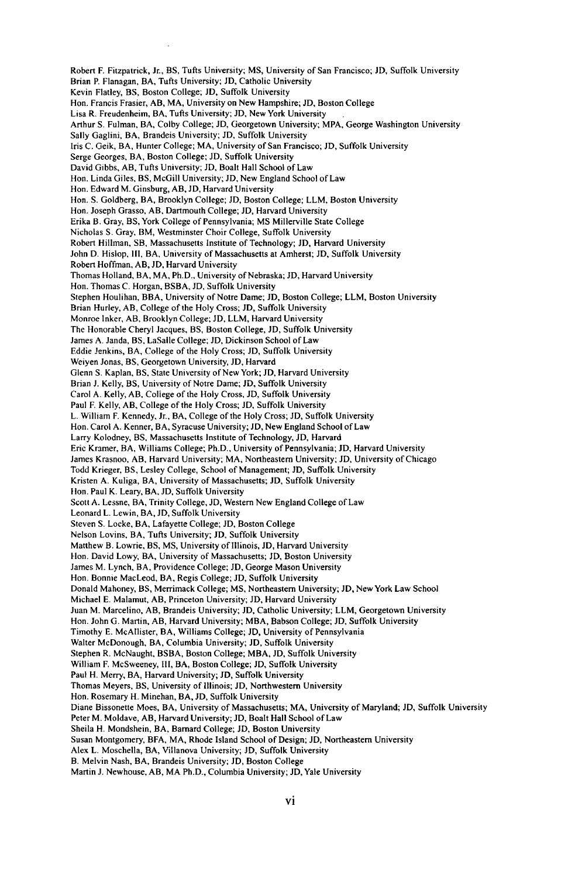Robert F. Fitzpatrick, Jr., BS, Tufts University; MS, University of San Francisco; **JD,** Suffolk University Brian P. Flanagan, BA, Tufts University; **JD,** Catholic University Kevin Flatley, BS, Boston College; **JD,** Suffolk University Hon. Francis Frasier, AB, MA, University on New Hampshire; **JD,** Boston College Lisa R. Freudenheim, BA, Tufts University; **JD,** New York University Arthur S. Fulman, BA, Colby College; **JD,** Georgetown University; MPA, George Washington University Sally Gaglini, BA, Brandeis University; **JD,** Suffolk University Iris C. Geik, BA, Hunter College; MA, University of San Francisco; **JD,** Suffolk University Serge Georges, BA, Boston College; **JD,** Suffolk University David Gibbs, AB, Tufts University; **JD,** Boalt Hall School of Law Hon. Linda Giles, BS, McGill University; **JD,** New England School of Law Hon. Edward M. Ginsburg, AB, **JD,** Harvard University Hon. S. Goldberg, BA, Brooklyn College; **JD,** Boston College; LLM, Boston University Hon. Joseph Grasso, **AB,** Dartmouth College; **JD,** Harvard University Erika B. Gray, BS, York College of Pennsylvania; MS Millerville State College Nicholas **S.** Gray, BM, Westminster Choir College, Suffolk University Robert Hillman, SB, Massachusetts Institute of Technology; **JD,** Harvard University John D. Hislop, **111,** BA, University of Massachusetts at Amherst; **JD,** Suffolk University Robert Hoffman, AB, **JD,** Harvard University Thomas Holland, BA, MA, Ph.D., University of Nebraska; **JD,** Harvard University Hon. Thomas C. Horgan, BSBA, **JD,** Suffolk University Stephen Houlihan, BBA, University of Notre Dame; **JD,** Boston College; LLM, Boston University Brian Hurley, AB, College of the Holy Cross; **JD,** Suffolk University Monroe Inker, AB, Brooklyn College; **JD,** LLM, Harvard University The Honorable Cheryl Jacques, BS, Boston College, **JD,** Suffolk University James A. Janda, BS, LaSalle College; **JD,** Dickinson School of Law Eddie Jenkins, BA, College of the Holy Cross; **JD,** Suffolk University Weiyen Jonas, BS, Georgetown University, **JD,** Harvard Glenn S. Kaplan, BS, State University of New York; **JD,** Harvard University Brian **J.** Kelly, BS, University of Notre Dame; **JD,** Suffolk University Carol A. Kelly, AB, College of the Holy Cross, **JD,** Suffolk University Paul F. Kelly, AB, College of the Holy Cross; **JD,** Suffolk University L. William F. Kennedy, Jr., BA, College of the Holy Cross; **JD,** Suffolk University Hon. Carol A. Kenner, BA, Syracuse University; **JD,** New England School of Law Larry Kolodney, BS, Massachusetts Institute of Technology, **JD,** Harvard Eric Kramer, BA, Williams College; Ph.D., University of Pennsylvania; **JD,** Harvard University James Krasnoo, AB, Harvard University; MA, Northeastern University; **JD,** University of Chicago Todd Krieger, BS, Lesley College, School of Management; **JD,** Suffolk University Kristen A. Kuliga, BA, University of Massachusetts; **JD,** Suffolk University Ilon. Paul K. Leary, BA, **JD,** Suffolk University Scott A. Lessne, BA, Trinity College, **JD,** Western New England College of Law Leonard L. Lewin, BA, **JD,** Suffolk University Steven S. Locke, BA, Lafayette College; **JD,** Boston College Nelson Lovins, BA, Tufts University; **JD,** Suffolk University Matthew B. Lowrie, BS, **MS,** University of Illinois, **JD,** Harvard University Ion. David Lowy, BA, University of Massachusetts; **JD,** Boston University James M. Lynch, BA, Providence College; **JD,** George Mason University Hon. Bonnie MacLeod, BA, Regis College; **JD,** Suffolk University Donald Mahoney, BS, Merrimack College; **MS,** Northeastern University; **JD,** New York Law School Michael E. Malamut, AB, Princeton University; **JD,** Harvard University Juan M. Marcelino, AB, Brandeis University; **JD,** Catholic University; LLM, Georgetown University Hon. John G. Martin, AB, Harvard University; MBA, Babson College; **JD,** Suffolk University Timothy **E.** McAllister, BA, Williams College; **JD,** University of Pennsylvania Walter McDonough, BA, Columbia University; **JD,** Suffolk University Stephen R. McNaught, BSBA, Boston College; MBA, **JD,** Suffolk University William F. McSweeney, Ill, BA, Boston College; **JD,** Suffolk University Paul H. Merry, BA, Harvard University; **JD,** Suffolk University Thomas Meyers, BS, University of Illinois; **JD,** Northwestern University Hon. Rosemary H. Minehan, BA, **JD,** Suffolk University Diane Bissonette Moes, BA, University of Massachusetts; MA, University of Maryland; **JD,** Suffolk University Peter M. Moldave, AB, Harvard University; **JD,** Boalt Hall School of Law Sheila H. Mondshein, BA, Barnard College; **JD,** Boston University Susan Montgomery, BFA, MA, Rhode Island School of Design; **JD,** Northeastern University Alex L. Moschella, BA, Villanova University; **JD,** Suffolk University B. Melvin Nash, BA, Brandeis University; **JD,** Boston College

Martin **J.** Newhouse, AB, MA Ph.D., Columbia University; **JD,** Yale University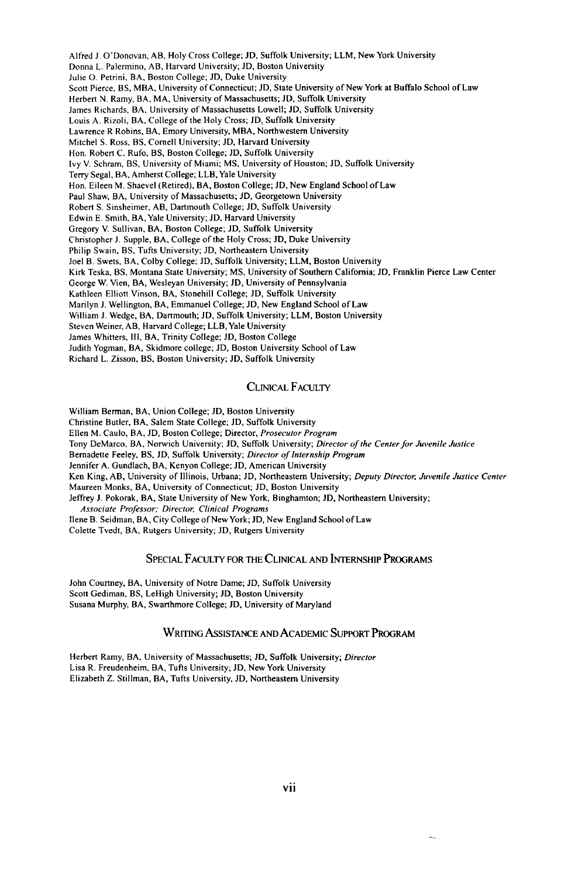Alfred **J.** O'Donovan, AB, Holy Cross College; **JD,** Suffolk University; LLM, New York University Donna L. Palermino, AB, Harvard University; **JD,** Boston University Julie **0.** Petrini, BA, Boston College; **JD,** Duke University Scott Pierce, BS, MBA, University of Connecticut; **JD,** State University of New York at Buffalo School of Law Herbert N. Ramy, BA, MA, University of Massachusetts; **JD,** Suffolk University James Richards, BA, University of Massachusetts Lowell; **JD,** Suffolk University Louis A. Rizoli, BA, College of the Holy Cross; **JD,** Suffolk University Lawrence R Robins, BA, Emory University, MBA, Northwestern University Mitchel S. Ross, **BS,** Cornell University; **JD,** Harvard University Hon. Robert C. Rufo, BS, Boston College; **JD,** Suffolk University Ivy V. Schram, BS, University of Miami; **MS,** University of Houston; **JD,** Suffolk University Terry Segal, BA, Amherst College; LLB, Yale University Hon. Eileen M. Shaevel (Retired), BA, Boston College; **JD,** New England School of Law Paul Shaw, BA, University of Massachusetts; **JD,** Georgetown University Robert **S.** Sinsheimer, AB, Dartmouth College; **JD,** Suffolk University Edwin E. Smith, BA, Yale University; **JD,** Harvard University Gregory V. Sullivan, BA, Boston College; **JD,** Suffolk University Christopher **J.** Supple, BA, College of the Holy Cross; **JD,** Duke University Philip Swain, BS, Tufts University; **JD,** Northeastern University Joel B. Swets, BA, Colby College; **JD,** Suffolk University; LLM, Boston University Kirk Teska, BS, Montana State University; **MS,** University of Southern California; **JD,** Franklin Pierce Law Center George W. Vien, BA, Wesleyan University; **JD,** University of Pennsylvania Kathleen Elliott Vinson, BA, Stonehill College; **JD,** Suffolk University Marilyn **J.** Wellington, BA, Emmanuel College; **JD,** New England School of Law William **J.** Wedge, BA, Dartmouth; **JD,** Suffolk University; LLM, Boston University Steven Weiner, AB, Harvard College; LLB, Yale University James Whitters, Ill, BA, Trinity College; **JD,** Boston College Judith Yogman, BA, Skidmore college; **JD,** Boston University School of Law Richard L. Zisson, BS, Boston University; **JD,** Suffolk University

#### CLINICAL FACULTY

William Berman, BA, Union College; **JD,** Boston University

Christine Butler, BA, Salem State College; JD, Suffolk University

Ellen M. Caulo, BA, **JD,** Boston College; Director, Prosecutor Program

Tony DeMarco, BA, Norwich University; JD, Suffolk University; Director of the Center for Juvenile Justice

Bernadette Feeley, BS, JD, Suffolk University; Director of Internship Program

Jennifer A. Gundlach, BA, Kenyon College; JD, American University

Ken King, AB, University of Illinois, Urbana; **JD,** Northeastern University; Deputy Director, Juvenile Justice Center Maureen Monks, BA, University of Connecticut; **JD,** Boston University

Jeffrey **J.** Pokorak, BA, State University of New York, Binghamton; **JD,** Northeastern University;

*Associate Professor: Director,* Clinical Programs

Ilene B. Seidman, BA, City College of New York; **JD,** New England School of Law

Colette Tvedt, BA, Rutgers University; **JD,** Rutgers University

#### SPECIAL FACULTY FOR THE CLINICAL AND INTERNSHIP PROGRAMS

John Courtney, BA, University of Notre Dame; **JD,** Suffolk University Scott Gediman, BS, LeHigh University; **JD,** Boston University Susana Murphy, BA, Swarthmore College; **JD,** University of Maryland

#### WRITING ASSISTANCE **AND** ACADEMIC SUPPORT PROGRAM

Herbert Ramy, BA, University of Massachusetts; **JD,** Suffolk University; Director Lisa R. Freudenheim, BA, Tufts University; **JD,** New York University Elizabeth Z. Stillman, BA, Tufts University, **JD,** Northeastern University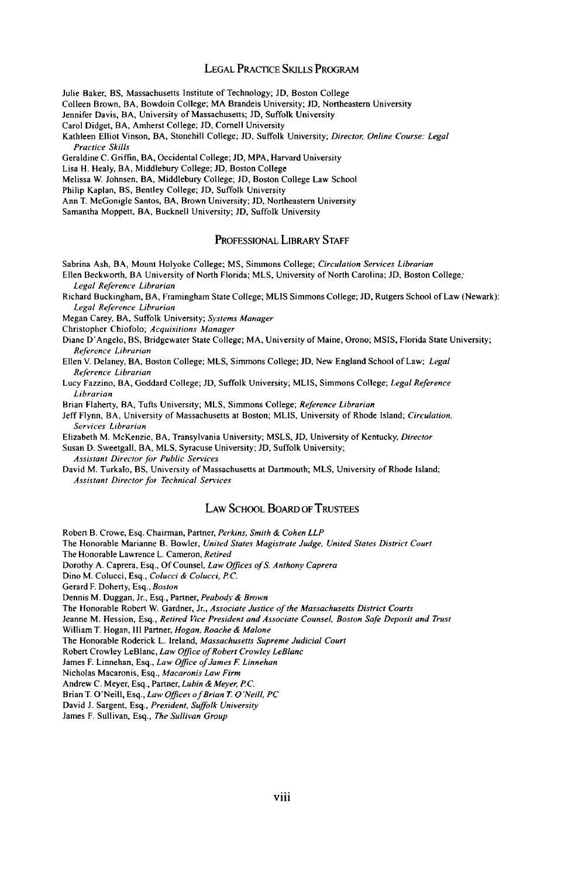#### LEGAL PRACTICE SKILLS PROGRAM

Julie Baker, BS, Massachusetts Institute of Technology; **JD,** Boston College

Colleen Brown, BA, Bowdoin College; MA Brandeis University; **JD,** Northeastern University

Jennifer Davis, BA, University of Massachusetts; JD, Suffolk University

Carol Didget, BA, Amherst College; **JD,** Cornell University

Kathleen Elliot Vinson, BA, Stonehill College; **JD,** Suffolk University; *Director, Online Course: Legal Practice Skills*

Geraldine C. Griffin, BA, Occidental College; **JD,** MPA, Harvard University

Lisa H. Healy, BA, Middlebury College; **JD,** Boston College

Melissa W. Johnsen, BA, Middlebury College; **JD,** Boston College Law School

Philip Kaplan, BS, Bentley College; JD, Suffolk University

Ann T. McGonigle Santos, BA, Brown University; **JD,** Northeastern University

Samantha Moppett, BA, Bucknell University; **JD,** Suffolk University

#### PROFESSIONAL LIBRARY STAFF

Sabrina Ash, BA, Mount Holyoke College; MS, Simmons College; *Circulation Services Librarian*

Ellen Beckworth, BA University of North Florida; MLS, University of North Carolina; JD, Boston College; *Legal Reference Librarian*

Richard Buckingham, BA, Framingham State College; MLIS Simmons College; **JD,** Rutgers School of Law (Newark): *Legal Reference Librarian*

Megan Carey, BA, Suffolk University; *Systems Manager*

Christopher Chiofolo; *Acquisitions Manager*

Diane D'Angelo, BS, Bridgewater State College; MA, University of Maine, Orono; MSIS, Florida State University; *Reference Librarian*

Ellen V. Delaney, BA, Boston College; MLS, Simmons College; **JD,** New England School of Law; *Legal Reference Librarian*

Lucy Fazzino, BA, Goddard College; **JD,** Suffolk University; MLIS, Simmons College; *Legal Reference Librarian*

Brian Flaherty, BA, Tufts University; MLS, Simmons College; *Reference Librarian*

Jeff Flynn, BA, University of Massachusetts at Boston; MLIS, University of Rhode Island; *Circulation. Services Librarian*

Elizabeth M. McKenzie, BA, Transylvania University; MSLS, **JD,** University of Kentucky, *Director*

Susan D. Sweetgall, BA, MLS, Syracuse University; **JD,** Suffolk University;

*Assistant Director for Public Services*

David M. Turkalo, BS, University of Massachusetts at Dartmouth; MLS, University of Rhode Island; *Assistant Director foi Technical Services*

#### LAW SCHOOL BOARD OF TRUSTEES

Robert B. Crowe, Esq. Chairman, Partner, *Perkins, Smith & Cohen LLP*

The Honorable Marianne B. Bowler, *United States Magistrate Judge, United States District Court*

The Honorable Lawrence L. Cameron, *Retired*

Dorothy A. Caprera, Esq., Of Counsel. *Law Offices ofS. Anthony Caprera*

Dino M. Colucci, Esq., *Colucci & Colucci, PC.*

Gerard F. Doherty, Esq., *Boston*

Dennis M. Duggan, Jr., Esq., Partner, *Peabody & Brown*

The Honorable Robert W. Gardner, Jr., *Associate Justice of the Massachusetts District Courts*

Jeanne M. Hession, Esq., *Retired Vice President and Associate Counsel, Boston Safe Deposit and Trust*

William T. Hogan, Ill Partner, *Hogan, Roache & Malone*

The Honorable Roderick L. Ireland, *Massachusetts Supreme Judicial Court*

Robert Crowley LeBlanc, *Law Office of Robert Crowley LeBlanc*

James F. Linnehan, Esq., *Law Office of James F Linnehan*

Nicholas Macaronis, Esq., *Macaronis Law Firm*

Andrew C. Meyer, Esq., Partner, *Lubin & Meyer, PC.*

Brian T. O'Neill, Esq., *Law Offices of Brian T O'Neill, PC*

David **J.** Sargent, Esq., *President, Suffolk University*

James F. Sullivan, Esq., *The Sullivan Group*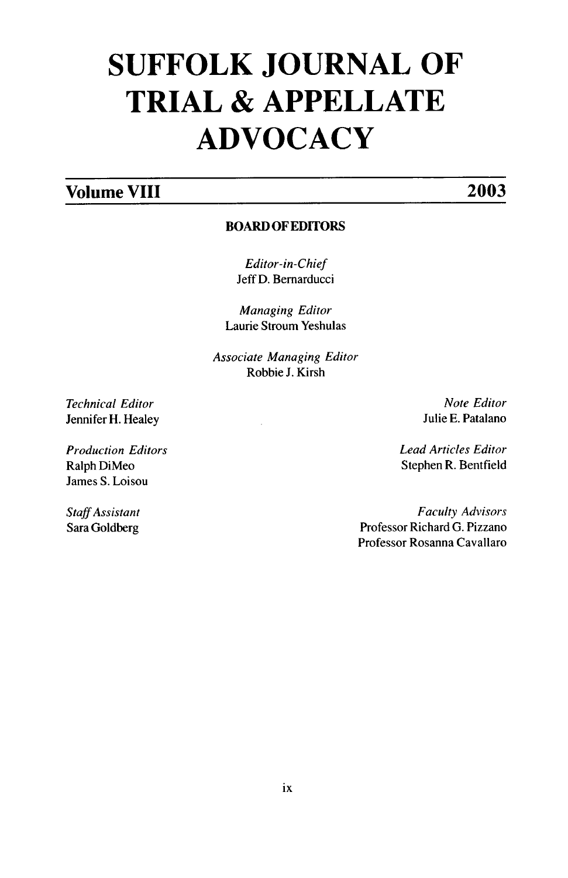## **SUFFOLK JOURNAL OF TRIAL & APPELLATE ADVOCACY**

## **Volume VIII 2003**

### **BOARD OF EDITORS**

*Editor-in-Chief* Jeff **D.** Bemarducci

*Managing Editor* Laurie Stroum Yeshulas

*Associate Managing Editor* Robbie **J.** Kirsh

*Technical Editor* Jennifer H. Healey

*Production Editors* Ralph DiMeo James S. Loisou

*Staff Assistant* Sara Goldberg

*Note Editor* Julie **E.** Patalano

*Lead Articles Editor* Stephen R. Bentfield

*Faculty Advisors* Professor Richard G. Pizzano Professor Rosanna Cavallaro